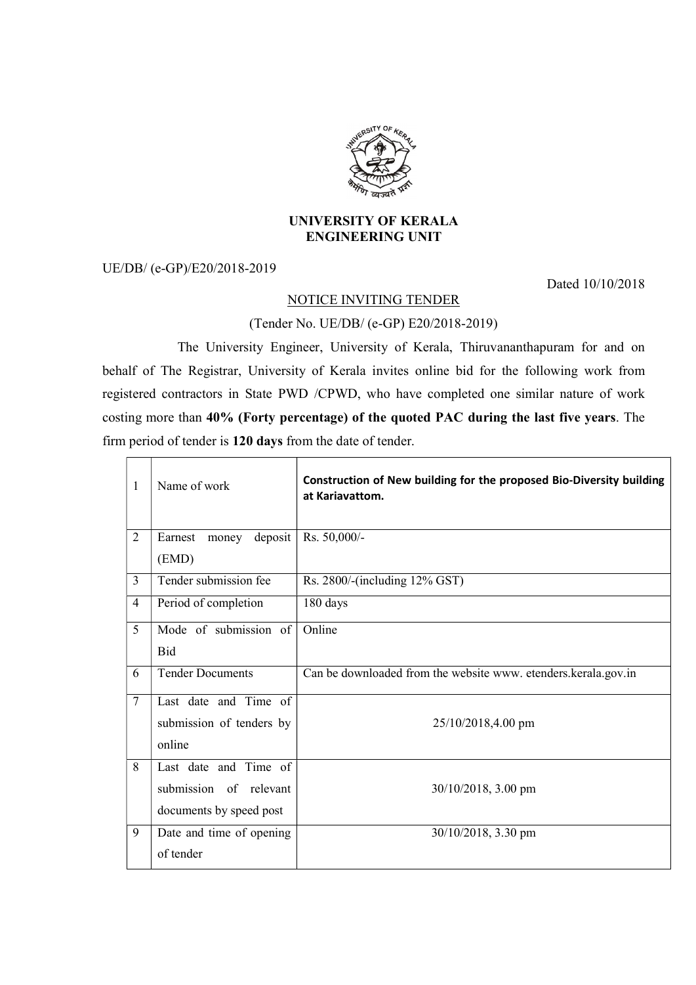

## UNIVERSITY OF KERALA ENGINEERING UNIT

UE/DB/ (e-GP)/E20/2018-2019

## Dated 10/10/2018

## NOTICE INVITING TENDER

(Tender No. UE/DB/ (e-GP) E20/2018-2019)

 The University Engineer, University of Kerala, Thiruvananthapuram for and on behalf of The Registrar, University of Kerala invites online bid for the following work from registered contractors in State PWD /CPWD, who have completed one similar nature of work costing more than 40% (Forty percentage) of the quoted PAC during the last five years. The firm period of tender is 120 days from the date of tender.

| 1              | Name of work             | Construction of New building for the proposed Bio-Diversity building<br>at Kariavattom. |
|----------------|--------------------------|-----------------------------------------------------------------------------------------|
| $\overline{2}$ | deposit<br>Earnest money | Rs. 50,000/-                                                                            |
|                | (EMD)                    |                                                                                         |
| 3              | Tender submission fee    | Rs. 2800/-(including 12% GST)                                                           |
| 4              | Period of completion     | 180 days                                                                                |
| 5              | Mode of submission of    | Online                                                                                  |
|                | Bid                      |                                                                                         |
| 6              | <b>Tender Documents</b>  | Can be downloaded from the website www. etenders.kerala.gov.in                          |
| $\tau$         | Last date and Time of    |                                                                                         |
|                | submission of tenders by | 25/10/2018,4.00 pm                                                                      |
|                | online                   |                                                                                         |
| 8              | Last date and Time of    |                                                                                         |
|                | submission of relevant   | 30/10/2018, 3.00 pm                                                                     |
|                | documents by speed post  |                                                                                         |
| 9              | Date and time of opening | 30/10/2018, 3.30 pm                                                                     |
|                | of tender                |                                                                                         |